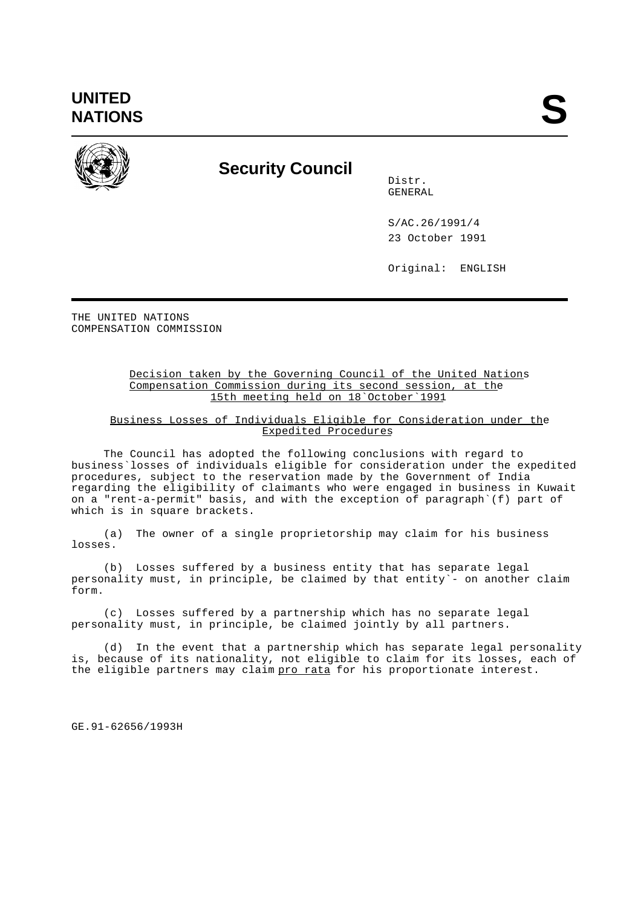**UNITED** UNITED<br>NATIONS



## **Security Council**

Distr. GENERAL

S/AC.26/1991/4 23 October 1991

Original: ENGLISH

THE UNITED NATIONS COMPENSATION COMMISSION

## Decision taken by the Governing Council of the United Nations Compensation Commission during its second session, at the 15th meeting held on 18`October`1991

## Business Losses of Individuals Eligible for Consideration under the Expedited Procedures

The Council has adopted the following conclusions with regard to business`losses of individuals eligible for consideration under the expedited procedures, subject to the reservation made by the Government of India regarding the eligibility of claimants who were engaged in business in Kuwait on a "rent-a-permit" basis, and with the exception of paragraph`(f) part of which is in square brackets.

(a) The owner of a single proprietorship may claim for his business losses.

(b) Losses suffered by a business entity that has separate legal personality must, in principle, be claimed by that entity`- on another claim form.

(c) Losses suffered by a partnership which has no separate legal personality must, in principle, be claimed jointly by all partners.

(d) In the event that a partnership which has separate legal personality is, because of its nationality, not eligible to claim for its losses, each of the eligible partners may claim pro rata for his proportionate interest.

GE.91-62656/1993H